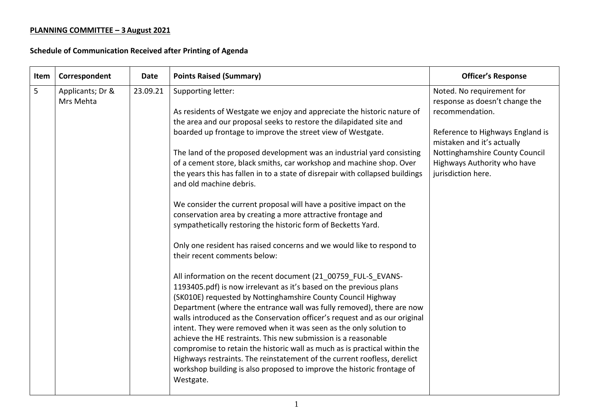| Item | Correspondent                 | <b>Date</b> | <b>Points Raised (Summary)</b>                                                                                                                                                                                                                                                                                                                                                                                                                                                                                                                                                                                                                                                                                                                                                                                                                                                                                                                                                                                                                                                                                                                                                                                                                                                                                                                                                                                                                                                                                                                                           | <b>Officer's Response</b>                                                                                                                                                                                                               |
|------|-------------------------------|-------------|--------------------------------------------------------------------------------------------------------------------------------------------------------------------------------------------------------------------------------------------------------------------------------------------------------------------------------------------------------------------------------------------------------------------------------------------------------------------------------------------------------------------------------------------------------------------------------------------------------------------------------------------------------------------------------------------------------------------------------------------------------------------------------------------------------------------------------------------------------------------------------------------------------------------------------------------------------------------------------------------------------------------------------------------------------------------------------------------------------------------------------------------------------------------------------------------------------------------------------------------------------------------------------------------------------------------------------------------------------------------------------------------------------------------------------------------------------------------------------------------------------------------------------------------------------------------------|-----------------------------------------------------------------------------------------------------------------------------------------------------------------------------------------------------------------------------------------|
| 5    | Applicants; Dr &<br>Mrs Mehta | 23.09.21    | Supporting letter:<br>As residents of Westgate we enjoy and appreciate the historic nature of<br>the area and our proposal seeks to restore the dilapidated site and<br>boarded up frontage to improve the street view of Westgate.<br>The land of the proposed development was an industrial yard consisting<br>of a cement store, black smiths, car workshop and machine shop. Over<br>the years this has fallen in to a state of disrepair with collapsed buildings<br>and old machine debris.<br>We consider the current proposal will have a positive impact on the<br>conservation area by creating a more attractive frontage and<br>sympathetically restoring the historic form of Becketts Yard.<br>Only one resident has raised concerns and we would like to respond to<br>their recent comments below:<br>All information on the recent document (21 00759 FUL-S EVANS-<br>1193405.pdf) is now irrelevant as it's based on the previous plans<br>(SK010E) requested by Nottinghamshire County Council Highway<br>Department (where the entrance wall was fully removed), there are now<br>walls introduced as the Conservation officer's request and as our original<br>intent. They were removed when it was seen as the only solution to<br>achieve the HE restraints. This new submission is a reasonable<br>compromise to retain the historic wall as much as is practical within the<br>Highways restraints. The reinstatement of the current roofless, derelict<br>workshop building is also proposed to improve the historic frontage of<br>Westgate. | Noted. No requirement for<br>response as doesn't change the<br>recommendation.<br>Reference to Highways England is<br>mistaken and it's actually<br>Nottinghamshire County Council<br>Highways Authority who have<br>jurisdiction here. |
|      |                               |             |                                                                                                                                                                                                                                                                                                                                                                                                                                                                                                                                                                                                                                                                                                                                                                                                                                                                                                                                                                                                                                                                                                                                                                                                                                                                                                                                                                                                                                                                                                                                                                          |                                                                                                                                                                                                                                         |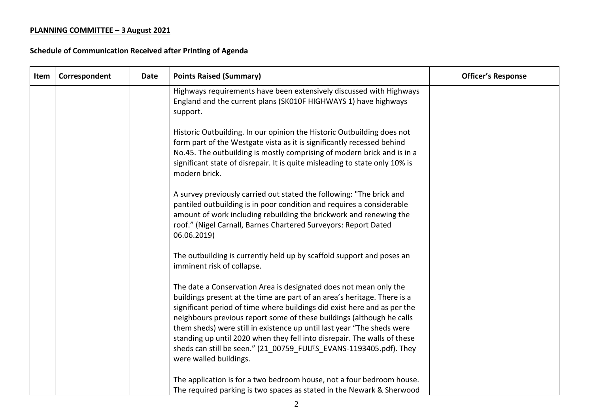| Item | Correspondent | Date | <b>Points Raised (Summary)</b>                                                                                                                                                                                                                                                                                                                                                                                                                                                                                                                           | <b>Officer's Response</b> |
|------|---------------|------|----------------------------------------------------------------------------------------------------------------------------------------------------------------------------------------------------------------------------------------------------------------------------------------------------------------------------------------------------------------------------------------------------------------------------------------------------------------------------------------------------------------------------------------------------------|---------------------------|
|      |               |      | Highways requirements have been extensively discussed with Highways<br>England and the current plans (SK010F HIGHWAYS 1) have highways<br>support.                                                                                                                                                                                                                                                                                                                                                                                                       |                           |
|      |               |      | Historic Outbuilding. In our opinion the Historic Outbuilding does not<br>form part of the Westgate vista as it is significantly recessed behind<br>No.45. The outbuilding is mostly comprising of modern brick and is in a<br>significant state of disrepair. It is quite misleading to state only 10% is<br>modern brick.                                                                                                                                                                                                                              |                           |
|      |               |      | A survey previously carried out stated the following: "The brick and<br>pantiled outbuilding is in poor condition and requires a considerable<br>amount of work including rebuilding the brickwork and renewing the<br>roof." (Nigel Carnall, Barnes Chartered Surveyors: Report Dated<br>06.06.2019)                                                                                                                                                                                                                                                    |                           |
|      |               |      | The outbuilding is currently held up by scaffold support and poses an<br>imminent risk of collapse.                                                                                                                                                                                                                                                                                                                                                                                                                                                      |                           |
|      |               |      | The date a Conservation Area is designated does not mean only the<br>buildings present at the time are part of an area's heritage. There is a<br>significant period of time where buildings did exist here and as per the<br>neighbours previous report some of these buildings (although he calls<br>them sheds) were still in existence up until last year "The sheds were<br>standing up until 2020 when they fell into disrepair. The walls of these<br>sheds can still be seen." (21 00759 FULES EVANS-1193405.pdf). They<br>were walled buildings. |                           |
|      |               |      | The application is for a two bedroom house, not a four bedroom house.<br>The required parking is two spaces as stated in the Newark & Sherwood                                                                                                                                                                                                                                                                                                                                                                                                           |                           |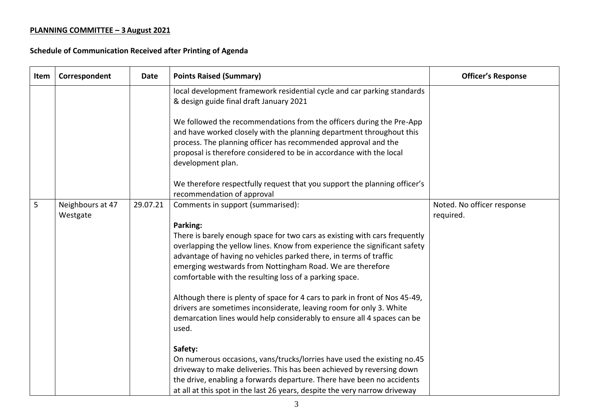| Item | Correspondent                | Date     | <b>Points Raised (Summary)</b>                                                                                                                                                                                                                                                                                                                                                                                                                                                                                                                                                                                                         | <b>Officer's Response</b>               |
|------|------------------------------|----------|----------------------------------------------------------------------------------------------------------------------------------------------------------------------------------------------------------------------------------------------------------------------------------------------------------------------------------------------------------------------------------------------------------------------------------------------------------------------------------------------------------------------------------------------------------------------------------------------------------------------------------------|-----------------------------------------|
|      |                              |          | local development framework residential cycle and car parking standards<br>& design guide final draft January 2021                                                                                                                                                                                                                                                                                                                                                                                                                                                                                                                     |                                         |
|      |                              |          | We followed the recommendations from the officers during the Pre-App<br>and have worked closely with the planning department throughout this<br>process. The planning officer has recommended approval and the<br>proposal is therefore considered to be in accordance with the local<br>development plan.                                                                                                                                                                                                                                                                                                                             |                                         |
|      |                              |          | We therefore respectfully request that you support the planning officer's<br>recommendation of approval                                                                                                                                                                                                                                                                                                                                                                                                                                                                                                                                |                                         |
| 5    | Neighbours at 47<br>Westgate | 29.07.21 | Comments in support (summarised):<br>Parking:<br>There is barely enough space for two cars as existing with cars frequently<br>overlapping the yellow lines. Know from experience the significant safety<br>advantage of having no vehicles parked there, in terms of traffic<br>emerging westwards from Nottingham Road. We are therefore<br>comfortable with the resulting loss of a parking space.<br>Although there is plenty of space for 4 cars to park in front of Nos 45-49,<br>drivers are sometimes inconsiderate, leaving room for only 3. White<br>demarcation lines would help considerably to ensure all 4 spaces can be | Noted. No officer response<br>required. |
|      |                              |          | used.<br>Safety:<br>On numerous occasions, vans/trucks/lorries have used the existing no.45<br>driveway to make deliveries. This has been achieved by reversing down<br>the drive, enabling a forwards departure. There have been no accidents<br>at all at this spot in the last 26 years, despite the very narrow driveway                                                                                                                                                                                                                                                                                                           |                                         |